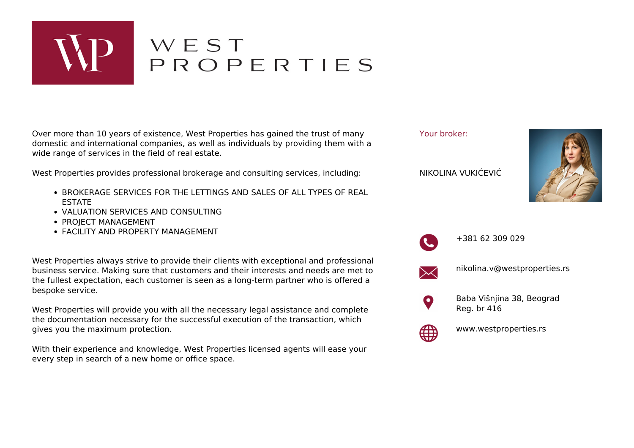

## WEST<br>PROPERTIES

Over more than 10 years of existence, West Properties has gained the trust of many domestic and international companies, as well as individuals by providing them with a wide range of services in the field of real estate.

West Properties provides professional brokerage and consulting services, including:

- **BROKERAGE SERVICES FOR THE LETTINGS AND SALES OF ALL TYPES OF REAL** ESTATE
- VALUATION SERVICES AND CONSULTING
- PROJECT MANAGEMENT
- FACILITY AND PROPERTY MANAGEMENT

West Properties always strive to provide their clients with exceptional and professional business service. Making sure that customers and their interests and needs are met to the fullest expectation, each customer is seen as a long-term partner who is offered a bespoke service.

West Properties will provide you with all the necessary legal assistance and complete the documentation necessary for the successful execution of the transaction, which gives you the maximum protection.

With their experience and knowledge, West Properties licensed agents will ease your every step in search of a new home or office space.





+381 62 309 029



nikolina.v@westproperties.rs



Baba Višnjina 38, Beograd Reg. br 416



www.westproperties.rs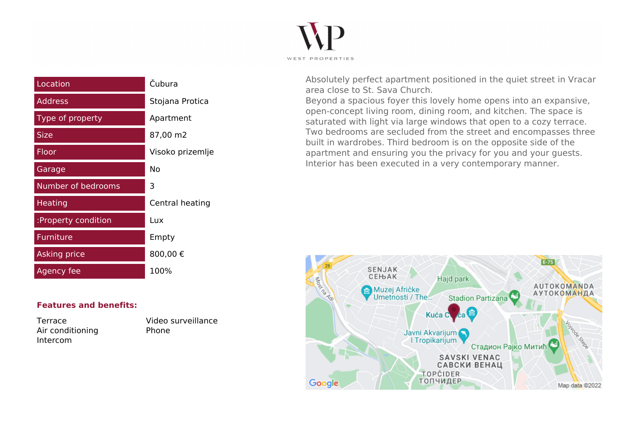

| Location            | Čubura           |
|---------------------|------------------|
| Address             | Stojana Protica  |
| Type of property    | Apartment        |
| <b>Size</b>         | 87,00 m2         |
| <b>Floor</b>        | Visoko prizemlje |
| Garage              | Nο               |
| Number of bedrooms  | 3                |
| Heating             | Central heating  |
| :Property condition | Lux              |
| Furniture           | Empty            |
| <b>Asking price</b> | 800,00€          |
| Agency fee          | 100%             |

Absolutely perfect apartment positioned in the quiet street in Vracar area close to St. Sava Church.

Beyond a spacious foyer this lovely home opens into an expansive, open-concept living room, dining room, and kitchen. The space is saturated with light via large windows that open to a cozy terrace. Two bedrooms are secluded from the street and encompasses three built in wardrobes. Third bedroom is on the opposite side of the apartment and ensuring you the privacy for you and your guests. Interior has been executed in a very contemporary manner.



## **Features and benefits:**

Air conditioning Thone Intercom

Terrace Video surveillance